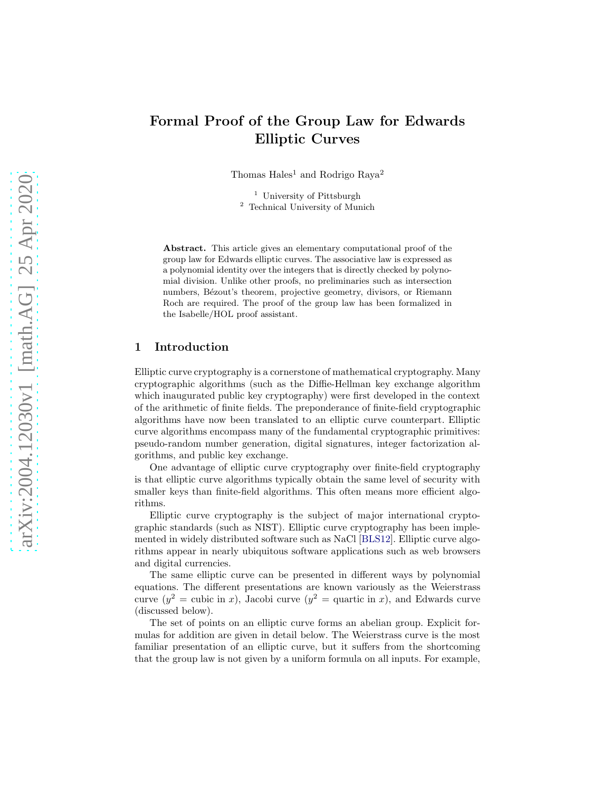# Formal Proof of the Group Law for Edwards Elliptic Curves

Thomas  $Hales<sup>1</sup>$  and Rodrigo Raya<sup>2</sup>

<sup>1</sup> University of Pittsburgh <sup>2</sup> Technical University of Munich

Abstract. This article gives an elementary computational proof of the group law for Edwards elliptic curves. The associative law is expressed as a polynomial identity over the integers that is directly checked by polynomial division. Unlike other proofs, no preliminaries such as intersection numbers, Bézout's theorem, projective geometry, divisors, or Riemann Roch are required. The proof of the group law has been formalized in the Isabelle/HOL proof assistant.

## 1 Introduction

Elliptic curve cryptography is a cornerstone of mathematical cryptography. Many cryptographic algorithms (such as the Diffie-Hellman key exchange algorithm which inaugurated public key cryptography) were first developed in the context of the arithmetic of finite fields. The preponderance of finite-field cryptographic algorithms have now been translated to an elliptic curve counterpart. Elliptic curve algorithms encompass many of the fundamental cryptographic primitives: pseudo-random number generation, digital signatures, integer factorization algorithms, and public key exchange.

One advantage of elliptic curve cryptography over finite-field cryptography is that elliptic curve algorithms typically obtain the same level of security with smaller keys than finite-field algorithms. This often means more efficient algorithms.

Elliptic curve cryptography is the subject of major international cryptographic standards (such as NIST). Elliptic curve cryptography has been implemented in widely distributed software such as NaCl [\[BLS12\]](#page-14-0). Elliptic curve algorithms appear in nearly ubiquitous software applications such as web browsers and digital currencies.

The same elliptic curve can be presented in different ways by polynomial equations. The different presentations are known variously as the Weierstrass curve  $(y^2)$  = cubic in x), Jacobi curve  $(y^2)$  = quartic in x), and Edwards curve (discussed below).

The set of points on an elliptic curve forms an abelian group. Explicit formulas for addition are given in detail below. The Weierstrass curve is the most familiar presentation of an elliptic curve, but it suffers from the shortcoming that the group law is not given by a uniform formula on all inputs. For example,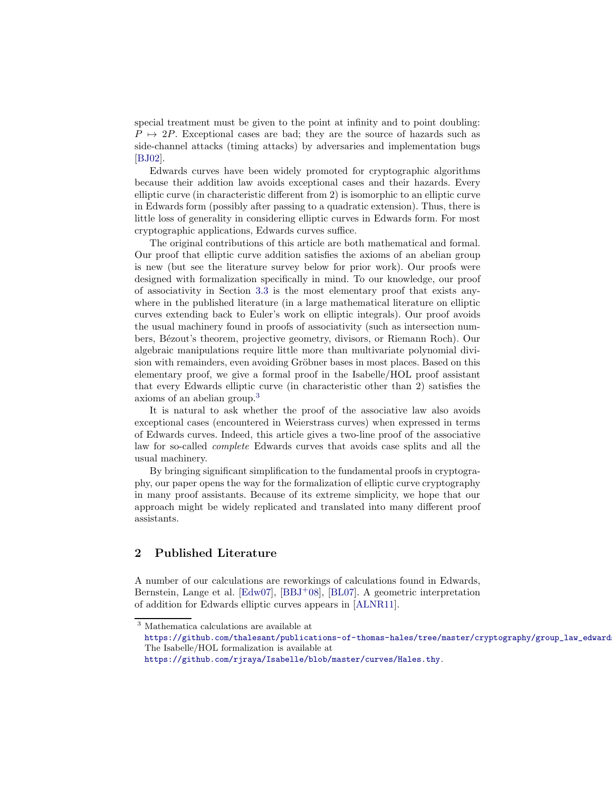special treatment must be given to the point at infinity and to point doubling:  $P \rightarrow 2P$ . Exceptional cases are bad; they are the source of hazards such as side-channel attacks (timing attacks) by adversaries and implementation bugs [\[BJ02\]](#page-14-1).

Edwards curves have been widely promoted for cryptographic algorithms because their addition law avoids exceptional cases and their hazards. Every elliptic curve (in characteristic different from 2) is isomorphic to an elliptic curve in Edwards form (possibly after passing to a quadratic extension). Thus, there is little loss of generality in considering elliptic curves in Edwards form. For most cryptographic applications, Edwards curves suffice.

The original contributions of this article are both mathematical and formal. Our proof that elliptic curve addition satisfies the axioms of an abelian group is new (but see the literature survey below for prior work). Our proofs were designed with formalization specifically in mind. To our knowledge, our proof of associativity in Section [3.3](#page-4-0) is the most elementary proof that exists anywhere in the published literature (in a large mathematical literature on elliptic curves extending back to Euler's work on elliptic integrals). Our proof avoids the usual machinery found in proofs of associativity (such as intersection numbers, B´ezout's theorem, projective geometry, divisors, or Riemann Roch). Our algebraic manipulations require little more than multivariate polynomial division with remainders, even avoiding Gröbner bases in most places. Based on this elementary proof, we give a formal proof in the Isabelle/HOL proof assistant that every Edwards elliptic curve (in characteristic other than 2) satisfies the axioms of an abelian group.[3](#page-1-0)

It is natural to ask whether the proof of the associative law also avoids exceptional cases (encountered in Weierstrass curves) when expressed in terms of Edwards curves. Indeed, this article gives a two-line proof of the associative law for so-called *complete* Edwards curves that avoids case splits and all the usual machinery.

By bringing significant simplification to the fundamental proofs in cryptography, our paper opens the way for the formalization of elliptic curve cryptography in many proof assistants. Because of its extreme simplicity, we hope that our approach might be widely replicated and translated into many different proof assistants.

# 2 Published Literature

A number of our calculations are reworkings of calculations found in Edwards, Bernstein, Lange et al. [\[Edw07\]](#page-14-2), [\[BBJ](#page-14-3)+08], [\[BL07\]](#page-14-4). A geometric interpretation of addition for Edwards elliptic curves appears in [\[ALNR11\]](#page-14-5).

<sup>3</sup> Mathematica calculations are available at

<span id="page-1-0"></span>[https://github.com/thalesant/publications-of-thomas-hales/tree/master/cryptography/group\\_law\\_edwards](https://github.com/thalesant/publications-of-thomas-hales/tree/master/cryptography/group_law_edwards). The Isabelle/HOL formalization is available at

<https://github.com/rjraya/Isabelle/blob/master/curves/Hales.thy>.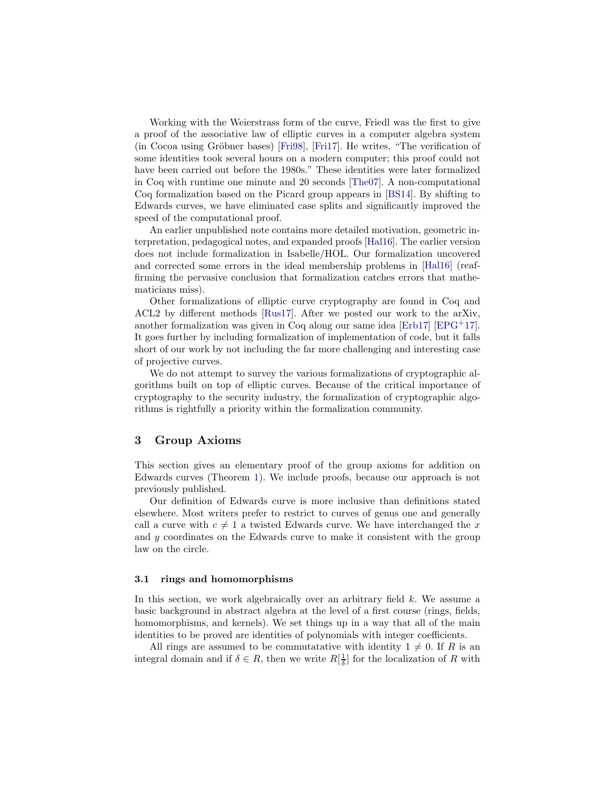Working with the Weierstrass form of the curve, Friedl was the first to give a proof of the associative law of elliptic curves in a computer algebra system (in Cocoa using Gröbner bases) [\[Fri98\]](#page-14-6), [\[Fri17\]](#page-14-7). He writes, "The verification of some identities took several hours on a modern computer; this proof could not have been carried out before the 1980s." These identities were later formalized in Coq with runtime one minute and 20 seconds [\[The07\]](#page-14-8). A non-computational Coq formalization based on the Picard group appears in [\[BS14\]](#page-14-9). By shifting to Edwards curves, we have eliminated case splits and significantly improved the speed of the computational proof.

An earlier unpublished note contains more detailed motivation, geometric interpretation, pedagogical notes, and expanded proofs [\[Hal16\]](#page-14-10). The earlier version does not include formalization in Isabelle/HOL. Our formalization uncovered and corrected some errors in the ideal membership problems in [\[Hal16\]](#page-14-10) (reaffirming the pervasive conclusion that formalization catches errors that mathematicians miss).

Other formalizations of elliptic curve cryptography are found in Coq and ACL2 by different methods [\[Rus17\]](#page-14-11). After we posted our work to the arXiv, another formalization was given in Coq along our same idea  $[Erb17] [EPG^+17]$  $[Erb17] [EPG^+17]$  $[Erb17] [EPG^+17]$ . It goes further by including formalization of implementation of code, but it falls short of our work by not including the far more challenging and interesting case of projective curves.

We do not attempt to survey the various formalizations of cryptographic algorithms built on top of elliptic curves. Because of the critical importance of cryptography to the security industry, the formalization of cryptographic algorithms is rightfully a priority within the formalization community.

# 3 Group Axioms

This section gives an elementary proof of the group axioms for addition on Edwards curves (Theorem [1\)](#page-5-0). We include proofs, because our approach is not previously published.

Our definition of Edwards curve is more inclusive than definitions stated elsewhere. Most writers prefer to restrict to curves of genus one and generally call a curve with  $c \neq 1$  a twisted Edwards curve. We have interchanged the x and  $y$  coordinates on the Edwards curve to make it consistent with the group law on the circle.

#### 3.1 rings and homomorphisms

In this section, we work algebraically over an arbitrary field  $k$ . We assume a basic background in abstract algebra at the level of a first course (rings, fields, homomorphisms, and kernels). We set things up in a way that all of the main identities to be proved are identities of polynomials with integer coefficients.

All rings are assumed to be commutatative with identity  $1 \neq 0$ . If R is an integral domain and if  $\delta \in R$ , then we write  $R[\frac{1}{\delta}]$  for the localization of R with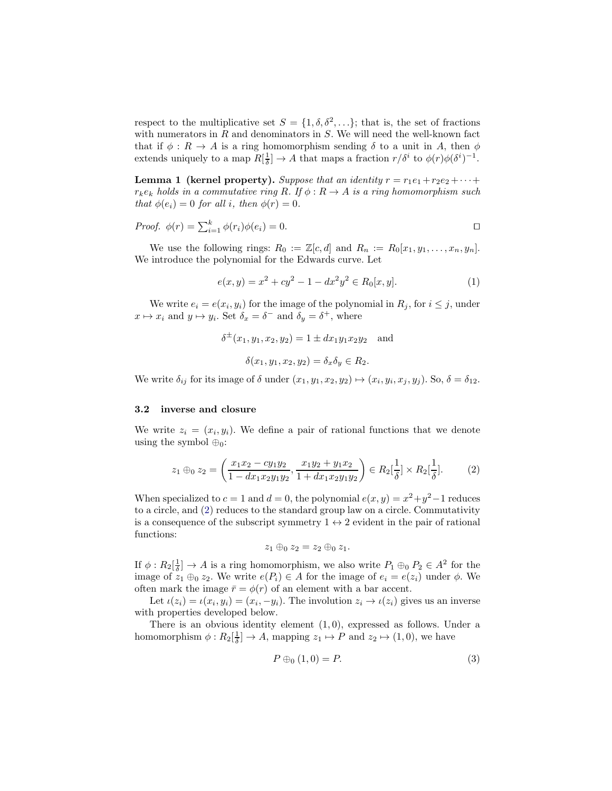respect to the multiplicative set  $S = \{1, \delta, \delta^2, \ldots\}$ ; that is, the set of fractions with numerators in  $R$  and denominators in  $S$ . We will need the well-known fact that if  $\phi: R \to A$  is a ring homomorphism sending  $\delta$  to a unit in A, then  $\phi$ extends uniquely to a map  $R[\frac{1}{\delta}] \to A$  that maps a fraction  $r/\delta^i$  to  $\phi(r)\phi(\delta^i)^{-1}$ .

**Lemma 1 (kernel property).** Suppose that an identity  $r = r_1e_1 + r_2e_2 + \cdots$  $r_k e_k$  *holds in a commutative ring* R. If  $\phi : R \to A$  *is a ring homomorphism such that*  $\phi(e_i) = 0$  *for all i, then*  $\phi(r) = 0$ *.* 

*Proof.* 
$$
\phi(r) = \sum_{i=1}^{k} \phi(r_i) \phi(e_i) = 0.
$$

We use the following rings:  $R_0 := \mathbb{Z}[c, d]$  and  $R_n := R_0[x_1, y_1, \ldots, x_n, y_n].$ We introduce the polynomial for the Edwards curve. Let

$$
e(x,y) = x^2 + cy^2 - 1 - dx^2y^2 \in R_0[x,y].
$$
\n(1)

We write  $e_i = e(x_i, y_i)$  for the image of the polynomial in  $R_j$ , for  $i \leq j$ , under  $x \mapsto x_i$  and  $y \mapsto y_i$ . Set  $\delta_x = \delta^-$  and  $\delta_y = \delta^+$ , where

$$
\delta^{\pm}(x_1, y_1, x_2, y_2) = 1 \pm dx_1 y_1 x_2 y_2
$$
 and  
 $\delta(x_1, y_1, x_2, y_2) = \delta_x \delta_y \in R_2.$ 

We write  $\delta_{ij}$  for its image of  $\delta$  under  $(x_1, y_1, x_2, y_2) \mapsto (x_i, y_i, x_j, y_j)$ . So,  $\delta = \delta_{12}$ .

## 3.2 inverse and closure

We write  $z_i = (x_i, y_i)$ . We define a pair of rational functions that we denote using the symbol  $\oplus_0$ :

<span id="page-3-0"></span>
$$
z_1 \oplus_0 z_2 = \left(\frac{x_1 x_2 - c y_1 y_2}{1 - d x_1 x_2 y_1 y_2}, \frac{x_1 y_2 + y_1 x_2}{1 + d x_1 x_2 y_1 y_2}\right) \in R_2[\frac{1}{\delta}] \times R_2[\frac{1}{\delta}].\tag{2}
$$

When specialized to  $c = 1$  and  $d = 0$ , the polynomial  $e(x, y) = x^2 + y^2 - 1$  reduces to a circle, and [\(2\)](#page-3-0) reduces to the standard group law on a circle. Commutativity is a consequence of the subscript symmetry  $1 \leftrightarrow 2$  evident in the pair of rational functions:

$$
z_1\oplus_0 z_2=z_2\oplus_0 z_1.
$$

If  $\phi: R_2[\frac{1}{\delta}] \to A$  is a ring homomorphism, we also write  $P_1 \oplus_0 P_2 \in A^2$  for the image of  $z_1 \oplus_0 z_2$ . We write  $e(P_i) \in A$  for the image of  $e_i = e(z_i)$  under  $\phi$ . We often mark the image  $\bar{r} = \phi(r)$  of an element with a bar accent.

Let  $\iota(z_i) = \iota(x_i, y_i) = (x_i, -y_i)$ . The involution  $z_i \to \iota(z_i)$  gives us an inverse with properties developed below.

There is an obvious identity element  $(1, 0)$ , expressed as follows. Under a homomorphism  $\phi: R_2[\frac{1}{\delta}] \to A$ , mapping  $z_1 \mapsto P$  and  $z_2 \mapsto (1,0)$ , we have

$$
P \oplus_0 (1,0) = P. \tag{3}
$$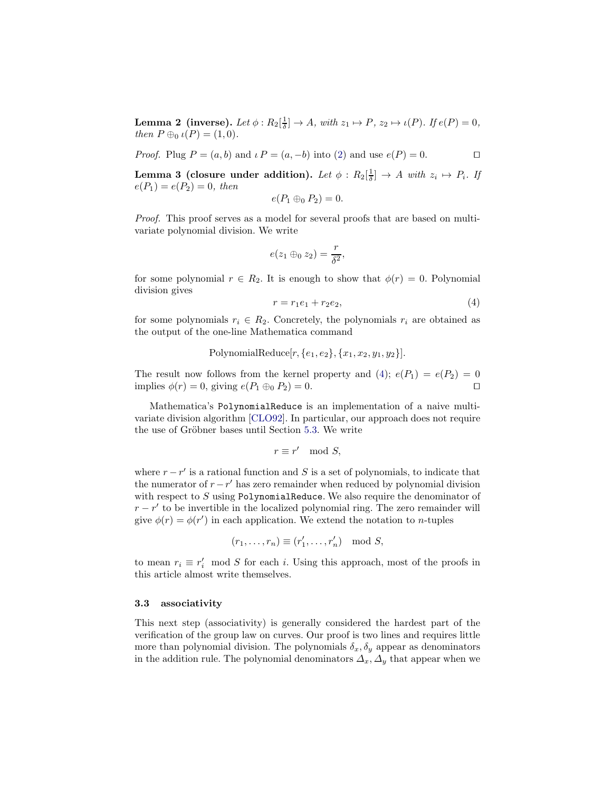**Lemma 2** (inverse). Let  $\phi: R_2[\frac{1}{\delta}] \to A$ , with  $z_1 \mapsto P$ ,  $z_2 \mapsto \iota(P)$ . If  $e(P) = 0$ , *then*  $P \oplus_0 \iota(P) = (1, 0)$ *.* 

*Proof.* Plug 
$$
P = (a, b)
$$
 and  $\iota P = (a, -b)$  into (2) and use  $e(P) = 0$ .

**Lemma 3 (closure under addition).** Let  $\phi : R_2[\frac{1}{\delta}] \to A$  with  $z_i \mapsto P_i$ . If  $e(P_1) = e(P_2) = 0$ , then

$$
e(P_1 \oplus_0 P_2) = 0.
$$

*Proof.* This proof serves as a model for several proofs that are based on multivariate polynomial division. We write

$$
e(z_1 \oplus_0 z_2) = \frac{r}{\delta^2},
$$

for some polynomial  $r \in R_2$ . It is enough to show that  $\phi(r) = 0$ . Polynomial division gives

<span id="page-4-1"></span>
$$
r = r_1 e_1 + r_2 e_2,\t\t(4)
$$

for some polynomials  $r_i \in R_2$ . Concretely, the polynomials  $r_i$  are obtained as the output of the one-line Mathematica command

PolynomialReduce[
$$
r
$$
, { $e$ <sub>1</sub>,  $e$ <sub>2</sub>}, { $x$ <sub>1</sub>,  $x$ <sub>2</sub>,  $y$ <sub>1</sub>,  $y$ <sub>2</sub>}.

The result now follows from the kernel property and [\(4\)](#page-4-1);  $e(P_1) = e(P_2) = 0$ implies  $\phi(r) = 0$ , giving  $e(P_1 \oplus_0 P_2) = 0$ . □

Mathematica's PolynomialReduce is an implementation of a naive multivariate division algorithm [\[CLO92\]](#page-14-14). In particular, our approach does not require the use of Gröbner bases until Section [5.3.](#page-9-0) We write

$$
r \equiv r' \mod S,
$$

where  $r - r'$  is a rational function and S is a set of polynomials, to indicate that the numerator of  $r - r'$  has zero remainder when reduced by polynomial division with respect to  $S$  using PolynomialReduce. We also require the denominator of  $r - r'$  to be invertible in the localized polynomial ring. The zero remainder will give  $\phi(r) = \phi(r')$  in each application. We extend the notation to *n*-tuples

$$
(r_1, \ldots, r_n) \equiv (r'_1, \ldots, r'_n) \mod S,
$$

to mean  $r_i \equiv r'_i \mod S$  for each i. Using this approach, most of the proofs in this article almost write themselves.

### <span id="page-4-0"></span>3.3 associativity

This next step (associativity) is generally considered the hardest part of the verification of the group law on curves. Our proof is two lines and requires little more than polynomial division. The polynomials  $\delta_x, \delta_y$  appear as denominators in the addition rule. The polynomial denominators  $\Delta_x, \Delta_y$  that appear when we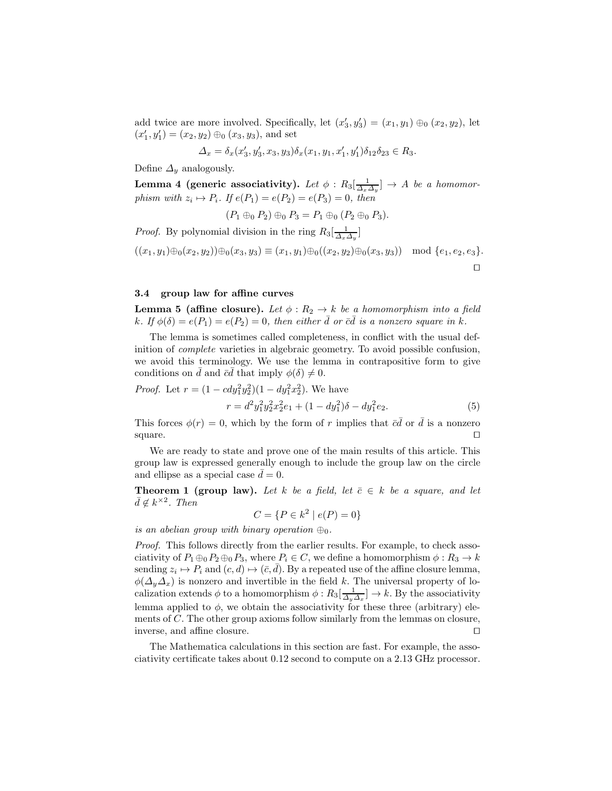add twice are more involved. Specifically, let  $(x'_3, y'_3) = (x_1, y_1) \oplus_0 (x_2, y_2)$ , let  $(x'_1, y'_1) = (x_2, y_2) \oplus_0 (x_3, y_3)$ , and set

$$
\varDelta_x=\delta_x(x_3',y_3',x_3,y_3)\delta_x(x_1,y_1,x_1',y_1')\delta_{12}\delta_{23}\in R_3.
$$

Define  $\Delta_y$  analogously.

Lemma 4 (generic associativity). Let  $\phi: R_3[\frac{1}{\Delta_x\Delta_y}] \to A$  be a homomor*phism with*  $z_i \mapsto P_i$ *. If*  $e(P_1) = e(P_2) = e(P_3) = 0$ *, then* 

$$
(P_1 \oplus_0 P_2) \oplus_0 P_3 = P_1 \oplus_0 (P_2 \oplus_0 P_3).
$$

*Proof.* By polynomial division in the ring  $R_3\left[\frac{1}{\Delta_x\Delta_y}\right]$  $((x_1, y_1) \oplus_0 (x_2, y_2)) \oplus_0 (x_3, y_3) \equiv (x_1, y_1) \oplus_0 ((x_2, y_2) \oplus_0 (x_3, y_3)) \mod \{e_1, e_2, e_3\}.$ ⊓⊔

## 3.4 group law for affine curves

**Lemma 5 (affine closure).** Let  $\phi: R_2 \to k$  be a homomorphism into a field k. If  $\phi(\delta) = e(P_1) = e(P_2) = 0$ , then either  $\bar{d}$  or  $\bar{c}\bar{d}$  is a nonzero square in k.

The lemma is sometimes called completeness, in conflict with the usual definition of *complete* varieties in algebraic geometry. To avoid possible confusion, we avoid this terminology. We use the lemma in contrapositive form to give conditions on  $\bar{d}$  and  $\bar{c}\bar{d}$  that imply  $\phi(\delta) \neq 0$ .

*Proof.* Let 
$$
r = (1 - cdy_1^2y_2^2)(1 - dy_1^2x_2^2)
$$
. We have  
\n
$$
r = d^2y_1^2y_2^2x_2^2e_1 + (1 - dy_1^2)\delta - dy_1^2e_2.
$$
\n(5)

This forces  $\phi(r) = 0$ , which by the form of r implies that  $\bar{c}\bar{d}$  or  $\bar{d}$  is a nonzero square. □

We are ready to state and prove one of the main results of this article. This group law is expressed generally enough to include the group law on the circle and ellipse as a special case  $\bar{d}=0$ .

<span id="page-5-0"></span>**Theorem 1 (group law).** Let k be a field, let  $\bar{c} \in k$  be a square, and let  $\bar{d} \notin k^{\times 2}$ . Then

$$
C=\{P\in k^2\mid e(P)=0\}
$$

*is an abelian group with binary operation*  $\bigoplus_{\Omega}$ .

*Proof.* This follows directly from the earlier results. For example, to check associativity of  $P_1 \oplus_0 P_2 \oplus_0 P_3$ , where  $P_i \in C$ , we define a homomorphism  $\phi : R_3 \to k$ sending  $z_i \mapsto P_i$  and  $(c, d) \mapsto (\bar{c}, \bar{d})$ . By a repeated use of the affine closure lemma,  $\phi(\Delta_y\Delta_x)$  is nonzero and invertible in the field k. The universal property of localization extends  $\phi$  to a homomorphism  $\phi: R_3[\frac{1}{\Delta_y \Delta_x}] \to k$ . By the associativity lemma applied to  $\phi$ , we obtain the associativity for these three (arbitrary) elements of C. The other group axioms follow similarly from the lemmas on closure, inverse, and affine closure. ⊓⊔

The Mathematica calculations in this section are fast. For example, the associativity certificate takes about 0.12 second to compute on a 2.13 GHz processor.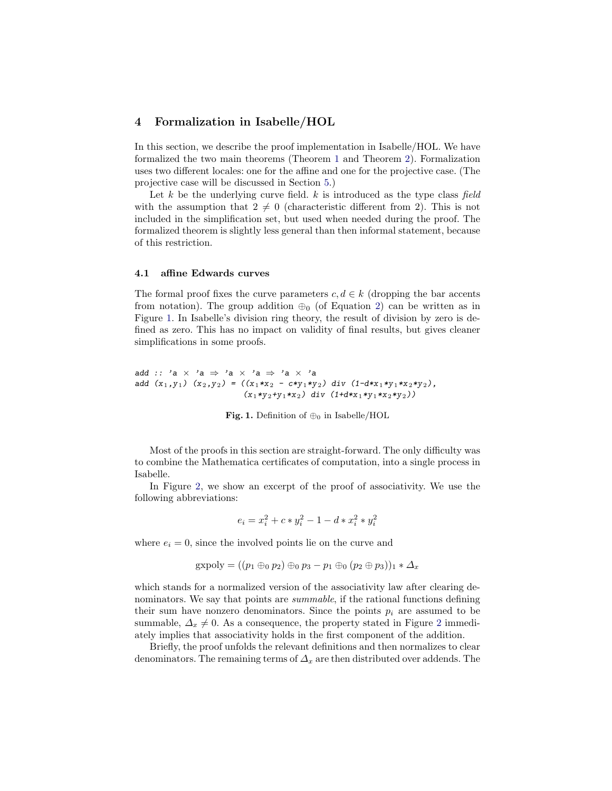## 4 Formalization in Isabelle/HOL

In this section, we describe the proof implementation in Isabelle/HOL. We have formalized the two main theorems (Theorem [1](#page-5-0) and Theorem [2\)](#page-11-0). Formalization uses two different locales: one for the affine and one for the projective case. (The projective case will be discussed in Section [5.](#page-7-0))

Let k be the underlying curve field. k is introduced as the type class *field* with the assumption that  $2 \neq 0$  (characteristic different from 2). This is not included in the simplification set, but used when needed during the proof. The formalized theorem is slightly less general than then informal statement, because of this restriction.

#### 4.1 affine Edwards curves

The formal proof fixes the curve parameters  $c, d \in k$  (dropping the bar accents from notation). The group addition  $\oplus_0$  (of Equation [2\)](#page-3-0) can be written as in Figure [1.](#page-6-0) In Isabelle's division ring theory, the result of division by zero is defined as zero. This has no impact on validity of final results, but gives cleaner simplifications in some proofs.

*add :: 'a* × *'a* ⇒ *'a* × *'a* ⇒ *'a* × *'a add*  $(x_1, y_1)$   $(x_2, y_2) = ((x_1 * x_2 - c * y_1 * y_2)$  *div*  $(1 - d * x_1 * y_1 * x_2 * y_2)$ , *(x* <sup>1</sup>*\*y* <sup>2</sup>*+y* <sup>1</sup>*\*x* <sup>2</sup>*) div (1+d\*x* <sup>1</sup>*\*y* <sup>1</sup>*\*x* <sup>2</sup>*\*y* <sup>2</sup>*))*

<span id="page-6-0"></span>Fig. 1. Definition of  $\oplus_0$  in Isabelle/HOL

Most of the proofs in this section are straight-forward. The only difficulty was to combine the Mathematica certificates of computation, into a single process in Isabelle.

In Figure [2,](#page-7-1) we show an excerpt of the proof of associativity. We use the following abbreviations:

$$
e_i = x_i^2 + c * y_i^2 - 1 - d * x_i^2 * y_i^2
$$

where  $e_i = 0$ , since the involved points lie on the curve and

$$
(\text{graph}) = ((p_1 \oplus_0 p_2) \oplus_0 p_3 - p_1 \oplus_0 (p_2 \oplus p_3))_1 * \Delta_x
$$

which stands for a normalized version of the associativity law after clearing denominators. We say that points are *summable*, if the rational functions defining their sum have nonzero denominators. Since the points  $p_i$  are assumed to be summable,  $\Delta_x \neq 0$ . As a consequence, the property stated in Figure [2](#page-7-1) immediately implies that associativity holds in the first component of the addition.

Briefly, the proof unfolds the relevant definitions and then normalizes to clear denominators. The remaining terms of  $\Delta_x$  are then distributed over addends. The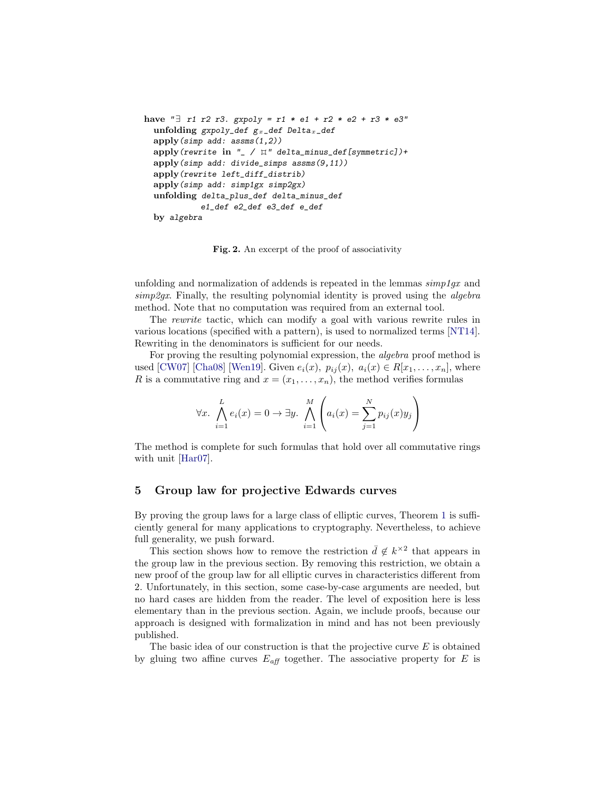```
have "∃ r1 r2 r3. gxpoly = r1 * e1 + r2 * e2 + r3 * e3"
unfolding gxpoly_def g_x_def Delta<sub>x</sub>_def
apply(simp add: assms(1,2))
apply(rewrite in "_ / ◊" delta_minus_def[symmetric])+
apply(simp add: divide_simps assms(9,11))
apply(rewrite left_diff_distrib)
apply(simp add: simp1gx simp2gx)
unfolding delta_plus_def delta_minus_def
          e1_def e2_def e3_def e_def
by algebra
```
<span id="page-7-1"></span>Fig. 2. An excerpt of the proof of associativity

unfolding and normalization of addends is repeated in the lemmas *simp1gx* and *simp2gx*. Finally, the resulting polynomial identity is proved using the *algebra* method. Note that no computation was required from an external tool.

The *rewrite* tactic, which can modify a goal with various rewrite rules in various locations (specified with a pattern), is used to normalized terms [\[NT14\]](#page-14-15). Rewriting in the denominators is sufficient for our needs.

For proving the resulting polynomial expression, the *algebra* proof method is used [\[CW07\]](#page-14-16) [\[Cha08\]](#page-14-17) [\[Wen19\]](#page-15-0). Given  $e_i(x)$ ,  $p_{ij}(x)$ ,  $a_i(x) \in R[x_1, \ldots, x_n]$ , where R is a commutative ring and  $x = (x_1, \ldots, x_n)$ , the method verifies formulas

$$
\forall x. \bigwedge_{i=1}^{L} e_i(x) = 0 \rightarrow \exists y. \bigwedge_{i=1}^{M} \left( a_i(x) = \sum_{j=1}^{N} p_{ij}(x) y_j \right)
$$

The method is complete for such formulas that hold over all commutative rings with unit [\[Har07\]](#page-14-18).

## <span id="page-7-0"></span>5 Group law for projective Edwards curves

By proving the group laws for a large class of elliptic curves, Theorem [1](#page-5-0) is sufficiently general for many applications to cryptography. Nevertheless, to achieve full generality, we push forward.

This section shows how to remove the restriction  $\bar{d} \notin k^{\times 2}$  that appears in the group law in the previous section. By removing this restriction, we obtain a new proof of the group law for all elliptic curves in characteristics different from 2. Unfortunately, in this section, some case-by-case arguments are needed, but no hard cases are hidden from the reader. The level of exposition here is less elementary than in the previous section. Again, we include proofs, because our approach is designed with formalization in mind and has not been previously published.

The basic idea of our construction is that the projective curve  $E$  is obtained by gluing two affine curves  $E_{\text{aff}}$  together. The associative property for E is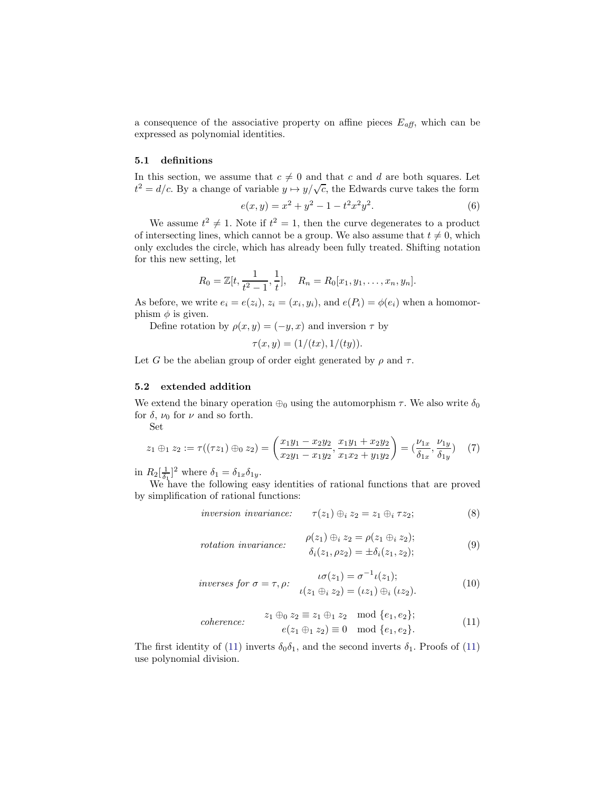a consequence of the associative property on affine pieces  $E_{\text{aff}}$ , which can be expressed as polynomial identities.

## <span id="page-8-6"></span>5.1 definitions

In this section, we assume that  $c \neq 0$  and that c and d are both squares. Let  $t^2 = d/c$ . By a change of variable  $y \mapsto y/\sqrt{c}$ , the Edwards curve takes the form

<span id="page-8-1"></span>
$$
e(x, y) = x^2 + y^2 - 1 - t^2 x^2 y^2.
$$
 (6)

We assume  $t^2 \neq 1$ . Note if  $t^2 = 1$ , then the curve degenerates to a product of intersecting lines, which cannot be a group. We also assume that  $t \neq 0$ , which only excludes the circle, which has already been fully treated. Shifting notation for this new setting, let

$$
R_0 = \mathbb{Z}[t, \frac{1}{t^2 - 1}, \frac{1}{t}], \quad R_n = R_0[x_1, y_1, \dots, x_n, y_n].
$$

As before, we write  $e_i = e(z_i)$ ,  $z_i = (x_i, y_i)$ , and  $e(P_i) = \phi(e_i)$  when a homomorphism  $\phi$  is given.

Define rotation by  $\rho(x, y) = (-y, x)$  and inversion  $\tau$  by

$$
\tau(x, y) = (1/(tx), 1/(ty)).
$$

Let G be the abelian group of order eight generated by  $\rho$  and  $\tau$ .

#### 5.2 extended addition

We extend the binary operation  $\oplus_0$  using the automorphism  $\tau$ . We also write  $\delta_0$ for  $\delta$ ,  $\nu_0$  for  $\nu$  and so forth.

Set

<span id="page-8-4"></span>
$$
z_1 \oplus_1 z_2 := \tau((\tau z_1) \oplus_0 z_2) = \left(\frac{x_1 y_1 - x_2 y_2}{x_2 y_1 - x_1 y_2}, \frac{x_1 y_1 + x_2 y_2}{x_1 x_2 + y_1 y_2}\right) = \left(\frac{\nu_{1x}}{\delta_{1x}}, \frac{\nu_{1y}}{\delta_{1y}}\right) \tag{7}
$$

in  $R_2[\frac{1}{\delta_1}]^2$  where  $\delta_1 = \delta_{1x}\delta_{1y}$ .

We have the following easy identities of rational functions that are proved by simplification of rational functions:

<span id="page-8-3"></span>*inversion invariance:* 
$$
\tau(z_1) \oplus_i z_2 = z_1 \oplus_i \tau z_2;
$$
 (8)

<span id="page-8-5"></span>rotation invariance: 
$$
\rho(z_1) \oplus_i z_2 = \rho(z_1 \oplus_i z_2);
$$

$$
\delta_i(z_1, \rho z_2) = \pm \delta_i(z_1, z_2);
$$

$$
(9)
$$

$$
inverses for \sigma = \tau, \rho: \quad \begin{aligned} \iota\sigma(z_1) &= \sigma^{-1}\iota(z_1); \\ \iota(z_1 \oplus_i z_2) &= (\iota z_1) \oplus_i (\iota z_2). \end{aligned} \tag{10}
$$

<span id="page-8-2"></span><span id="page-8-0"></span>coherence: 
$$
z_1 \oplus_0 z_2 \equiv z_1 \oplus_1 z_2 \mod \{e_1, e_2\};
$$
  
\n $e(z_1 \oplus_1 z_2) \equiv 0 \mod \{e_1, e_2\}.$  (11)

The first identity of [\(11\)](#page-8-0) inverts  $\delta_0\delta_1$ , and the second inverts  $\delta_1$ . Proofs of (11) use polynomial division.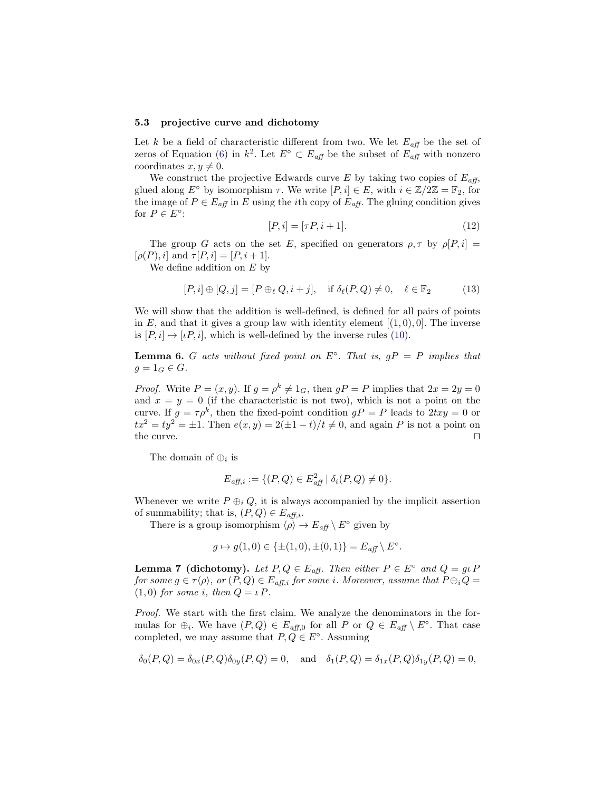#### <span id="page-9-0"></span>5.3 projective curve and dichotomy

Let k be a field of characteristic different from two. We let  $E_{\text{aff}}$  be the set of zeros of Equation [\(6\)](#page-8-1) in  $k^2$ . Let  $E^{\circ} \subset E_{\text{aff}}$  be the subset of  $E_{\text{aff}}^{\circ}$  with nonzero coordinates  $x, y \neq 0$ .

We construct the projective Edwards curve E by taking two copies of  $E_{\text{aff}}$ , glued along  $E^{\circ}$  by isomorphism  $\tau$ . We write  $[P, i] \in E$ , with  $i \in \mathbb{Z}/2\mathbb{Z} = \mathbb{F}_2$ , for the image of  $P \in E_{\text{aff}}$  in E using the *i*th copy of  $E_{\text{aff}}$ . The gluing condition gives for  $P \in E^\circ$ :

<span id="page-9-2"></span>
$$
[P,i] = [\tau P, i+1]. \tag{12}
$$

The group G acts on the set E, specified on generators  $\rho, \tau$  by  $\rho[P, i] =$  $[\rho(P), i]$  and  $\tau[P, i] = [P, i + 1].$ 

We define addition on  $E$  by

<span id="page-9-1"></span>
$$
[P,i] \oplus [Q,j] = [P \oplus_{\ell} Q, i+j], \quad \text{if } \delta_{\ell}(P,Q) \neq 0, \quad \ell \in \mathbb{F}_2 \tag{13}
$$

We will show that the addition is well-defined, is defined for all pairs of points in  $E$ , and that it gives a group law with identity element  $[(1,0),0]$ . The inverse is  $[P, i] \mapsto [\iota P, i]$ , which is well-defined by the inverse rules [\(10\)](#page-8-2).

**Lemma 6.** G acts without fixed point on  $E^{\circ}$ . That is,  $gP = P$  implies that  $g = 1_G \in G$ *.* 

*Proof.* Write  $P = (x, y)$ . If  $g = \rho^k \neq 1_G$ , then  $gP = P$  implies that  $2x = 2y = 0$ and  $x = y = 0$  (if the characteristic is not two), which is not a point on the curve. If  $g = \tau \rho^k$ , then the fixed-point condition  $gP = P$  leads to  $2txy = 0$  or  $tx^2 = ty^2 = \pm 1$ . Then  $e(x, y) = 2(\pm 1 - t)/t \neq 0$ , and again P is not a point on the curve. the curve. □

The domain of  $\oplus_i$  is

$$
E_{\text{aff},i} := \{ (P,Q) \in E_{\text{aff}}^2 \mid \delta_i(P,Q) \neq 0 \}.
$$

Whenever we write  $P \oplus_i Q$ , it is always accompanied by the implicit assertion of summability; that is,  $(P,Q) \in E_{aff,i}$ .

There is a group isomorphism  $\langle \rho \rangle \to E_{\text{aff}} \setminus E^{\circ}$  given by

$$
g \mapsto g(1,0) \in \{\pm (1,0), \pm (0,1)\} = E_{\text{aff}} \setminus E^{\circ}.
$$

<span id="page-9-3"></span>**Lemma 7 (dichotomy).** Let  $P, Q \in E_{aff}$ . Then either  $P \in E^{\circ}$  and  $Q = g \cup P$ *for some*  $g \in \tau \langle \rho \rangle$ *, or*  $(P, Q) \in E_{aff,i}$  *for some i. Moreover, assume that*  $P \oplus_i Q =$  $(1, 0)$  *for some i*, *then*  $Q = \iota P$ *.* 

*Proof.* We start with the first claim. We analyze the denominators in the formulas for  $\oplus_i$ . We have  $(P,Q) \in E_{\text{aff},0}$  for all P or  $Q \in E_{\text{aff}} \setminus E^{\circ}$ . That case completed, we may assume that  $P, \widetilde{Q} \in E^{\circ}$ . Assuming

$$
\delta_0(P,Q) = \delta_{0x}(P,Q)\delta_{0y}(P,Q) = 0, \text{ and } \delta_1(P,Q) = \delta_{1x}(P,Q)\delta_{1y}(P,Q) = 0,
$$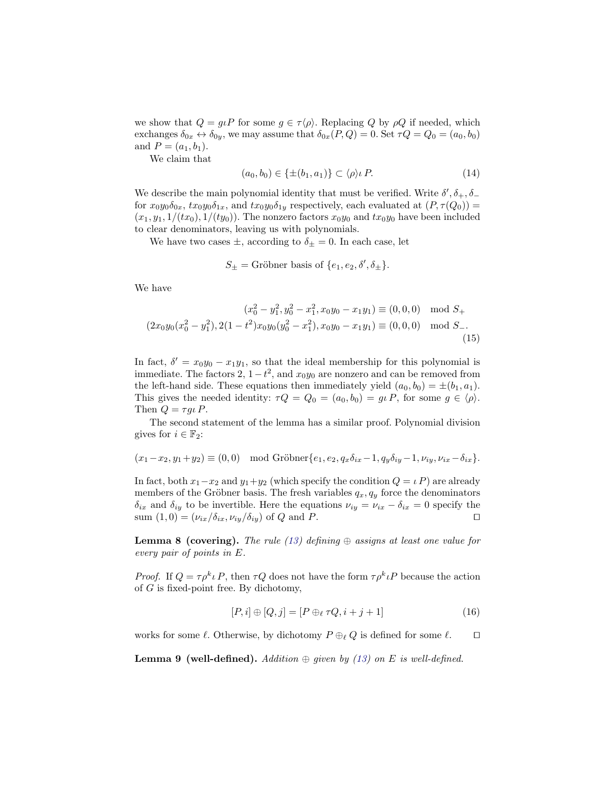we show that  $Q = g \iota P$  for some  $g \in \tau \langle \rho \rangle$ . Replacing Q by  $\rho Q$  if needed, which exchanges  $\delta_{0x} \leftrightarrow \delta_{0y}$ , we may assume that  $\delta_{0x}(P,Q) = 0$ . Set  $\tau Q = Q_0 = (a_0, b_0)$ and  $P = (a_1, b_1)$ .

We claim that

$$
(a_0, b_0) \in \{\pm (b_1, a_1)\} \subset \langle \rho \rangle \iota \, P. \tag{14}
$$

We describe the main polynomial identity that must be verified. Write  $\delta', \delta_+, \delta_$ for  $x_0y_0\delta_{0x}$ ,  $tx_0y_0\delta_{1x}$ , and  $tx_0y_0\delta_{1y}$  respectively, each evaluated at  $(P, \tau(Q_0))$  =  $(x_1, y_1, 1/(tx_0), 1/(ty_0))$ . The nonzero factors  $x_0y_0$  and  $tx_0y_0$  have been included to clear denominators, leaving us with polynomials.

We have two cases  $\pm$ , according to  $\delta_{\pm} = 0$ . In each case, let

<span id="page-10-1"></span>
$$
S_{\pm} = \text{Gröbner basis of } \{e_1, e_2, \delta', \delta_{\pm}\}.
$$

We have

$$
(x_0^2 - y_1^2, y_0^2 - x_1^2, x_0y_0 - x_1y_1) \equiv (0, 0, 0) \mod S_+
$$
  

$$
(2x_0y_0(x_0^2 - y_1^2), 2(1 - t^2)x_0y_0(y_0^2 - x_1^2), x_0y_0 - x_1y_1) \equiv (0, 0, 0) \mod S_-.
$$
  
(15)

In fact,  $\delta' = x_0y_0 - x_1y_1$ , so that the ideal membership for this polynomial is immediate. The factors 2,  $1-t^2$ , and  $x_0y_0$  are nonzero and can be removed from the left-hand side. These equations then immediately yield  $(a_0, b_0) = \pm (b_1, a_1)$ . This gives the needed identity:  $\tau Q = Q_0 = (a_0, b_0) = g \iota P$ , for some  $g \in \langle \rho \rangle$ . Then  $Q = \tau g \iota P$ .

The second statement of the lemma has a similar proof. Polynomial division gives for  $i \in \mathbb{F}_2$ :

$$
(x_1 - x_2, y_1 + y_2) \equiv (0, 0) \mod \text{Gr\"{o}bner}\{e_1, e_2, q_x \delta_{ix} - 1, q_y \delta_{iy} - 1, \nu_{iy}, \nu_{ix} - \delta_{ix}\}.
$$

In fact, both  $x_1-x_2$  and  $y_1+y_2$  (which specify the condition  $Q = \iota P$ ) are already members of the Gröbner basis. The fresh variables  $q_x, q_y$  force the denominators  $\delta_{ix}$  and  $\delta_{iy}$  to be invertible. Here the equations  $\nu_{iy} = \nu_{ix} - \delta_{ix} = 0$  specify the sum  $(1,0) = (\nu_{ix}/\delta_{ix}, \nu_{in}/\delta_{iv})$  of Q and P. sum  $(1, 0) = (\nu_{ix}/\delta_{ix}, \nu_{iy}/\delta_{iy})$  of Q and P.

<span id="page-10-2"></span>**Lemma 8 (covering).** *The rule*  $(13)$  *defining*  $\oplus$  *assigns at least one value for every pair of points in* E*.*

*Proof.* If  $Q = \tau \rho^k \iota P$ , then  $\tau Q$  does not have the form  $\tau \rho^k \iota P$  because the action of  $G$  is fixed-point free. By dichotomy,

<span id="page-10-0"></span>
$$
[P,i] \oplus [Q,j] = [P \oplus_{\ell} \tau Q, i+j+1]
$$
\n
$$
(16)
$$

works for some  $\ell$ . Otherwise, by dichotomy  $P \oplus_{\ell} Q$  is defined for some  $\ell$ . □

**Lemma 9 (well-defined).** Addition  $\oplus$  *given by* [\(13\)](#page-9-1) on E *is well-defined.*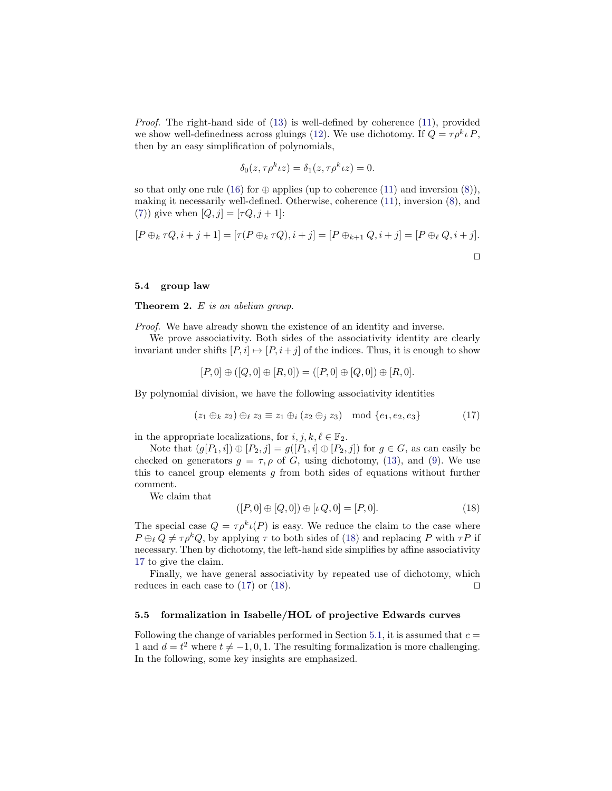*Proof.* The right-hand side of [\(13\)](#page-9-1) is well-defined by coherence [\(11\)](#page-8-0), provided we show well-definedness across gluings [\(12\)](#page-9-2). We use dichotomy. If  $Q = \tau \rho^k \iota P$ , then by an easy simplification of polynomials,

$$
\delta_0(z, \tau \rho^k \iota z) = \delta_1(z, \tau \rho^k \iota z) = 0.
$$

so that only one rule [\(16\)](#page-10-0) for  $\oplus$  applies (up to coherence [\(11\)](#page-8-0) and inversion [\(8\)](#page-8-3)), making it necessarily well-defined. Otherwise, coherence [\(11\)](#page-8-0), inversion [\(8\)](#page-8-3), and [\(7\)](#page-8-4)) give when  $[Q, j] = [\tau Q, j + 1]$ :

$$
[P \oplus_k \tau Q, i+j+1] = [\tau (P \oplus_k \tau Q), i+j] = [P \oplus_{k+1} Q, i+j] = [P \oplus_{\ell} Q, i+j].
$$

#### <span id="page-11-0"></span>5.4 group law

### Theorem 2. E *is an abelian group.*

*Proof.* We have already shown the existence of an identity and inverse.

We prove associativity. Both sides of the associativity identity are clearly invariant under shifts  $[P, i] \mapsto [P, i+j]$  of the indices. Thus, it is enough to show

$$
[P,0] \oplus ([Q,0] \oplus [R,0]) = ([P,0] \oplus [Q,0]) \oplus [R,0].
$$

By polynomial division, we have the following associativity identities

<span id="page-11-2"></span>
$$
(z_1 \oplus_k z_2) \oplus_{\ell} z_3 \equiv z_1 \oplus_i (z_2 \oplus_j z_3) \mod \{e_1, e_2, e_3\} \tag{17}
$$

in the appropriate localizations, for  $i, j, k, \ell \in \mathbb{F}_2$ .

Note that  $(g[P_1, i]) \oplus [P_2, j] = g([P_1, i] \oplus [P_2, j])$  for  $g \in G$ , as can easily be checked on generators  $g = \tau, \rho$  of G, using dichotomy, [\(13\)](#page-9-1), and [\(9\)](#page-8-5). We use this to cancel group elements  $g$  from both sides of equations without further comment.

We claim that

<span id="page-11-1"></span>
$$
([P,0] \oplus [Q,0]) \oplus [\iota Q,0] = [P,0]. \tag{18}
$$

The special case  $Q = \tau \rho^k \iota(P)$  is easy. We reduce the claim to the case where  $P \oplus_{\ell} Q \neq \tau \rho^{k} Q$ , by applying  $\tau$  to both sides of [\(18\)](#page-11-1) and replacing P with  $\tau P$  if necessary. Then by dichotomy, the left-hand side simplifies by affine associativity [17](#page-11-2) to give the claim.

Finally, we have general associativity by repeated use of dichotomy, which reduces in each case to [\(17\)](#page-11-2) or [\(18\)](#page-11-1). □

### 5.5 formalization in Isabelle/HOL of projective Edwards curves

Following the change of variables performed in Section [5.1,](#page-8-6) it is assumed that  $c =$ 1 and  $d = t^2$  where  $t \neq -1, 0, 1$ . The resulting formalization is more challenging. In the following, some key insights are emphasized.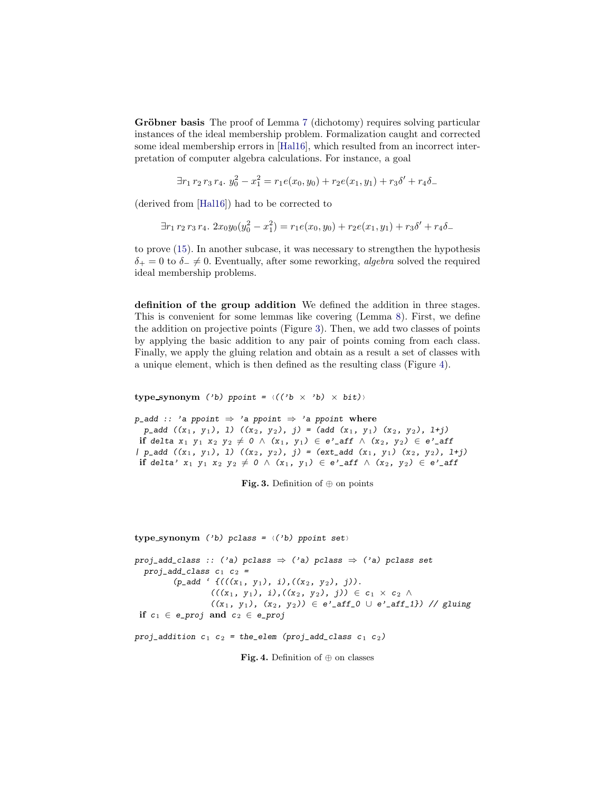Gröbner basis The proof of Lemma [7](#page-9-3) (dichotomy) requires solving particular instances of the ideal membership problem. Formalization caught and corrected some ideal membership errors in [\[Hal16\]](#page-14-10), which resulted from an incorrect interpretation of computer algebra calculations. For instance, a goal

$$
\exists r_1 r_2 r_3 r_4. y_0^2 - x_1^2 = r_1 e(x_0, y_0) + r_2 e(x_1, y_1) + r_3 \delta' + r_4 \delta_-
$$

(derived from [\[Hal16\]](#page-14-10)) had to be corrected to

$$
\exists r_1 r_2 r_3 r_4. 2x_0 y_0 (y_0^2 - x_1^2) = r_1 e(x_0, y_0) + r_2 e(x_1, y_1) + r_3 \delta' + r_4 \delta_-
$$

to prove [\(15\)](#page-10-1). In another subcase, it was necessary to strengthen the hypothesis  $\delta_+ = 0$  to  $\delta_- \neq 0$ . Eventually, after some reworking, *algebra* solved the required ideal membership problems.

definition of the group addition We defined the addition in three stages. This is convenient for some lemmas like covering (Lemma [8\)](#page-10-2). First, we define the addition on projective points (Figure [3\)](#page-12-0). Then, we add two classes of points by applying the basic addition to any pair of points coming from each class. Finally, we apply the gluing relation and obtain as a result a set of classes with a unique element, which is then defined as the resulting class (Figure [4\)](#page-12-1).

 $type\_symonym ( 'b) point = \langle (('b \times 'b) \times bit) \rangle$ 

*p\_add :: 'a ppoint*  $\Rightarrow$  'a ppoint  $\Rightarrow$  'a ppoint where *p\_add ((x* <sup>1</sup>*, y* <sup>1</sup>*), l) ((x* <sup>2</sup>*, y* <sup>2</sup>*), j) = (add (x* <sup>1</sup>*, y* <sup>1</sup>*) (x* <sup>2</sup>*, y* <sup>2</sup>*), l+j)* if *delta x*<sub>1</sub> *y*<sub>1</sub> *x*<sub>2</sub> *y*<sub>2</sub>  $\neq$  0 ∧ (*x*<sub>1</sub>, *y*<sub>1</sub>) ∈ *e'*\_aff ∧ (*x*<sub>2</sub>, *y*<sub>2</sub>) ∈ *e'*\_aff *| p\_add ((x* <sup>1</sup>*, y* <sup>1</sup>*), l) ((x* <sup>2</sup>*, y* <sup>2</sup>*), j) = (ext\_add (x* <sup>1</sup>*, y* <sup>1</sup>*) (x* <sup>2</sup>*, y* <sup>2</sup>*), l+j)* if *delta' x*<sub>1</sub> *y*<sub>1</sub> *x*<sub>2</sub> *y*<sub>2</sub>  $\neq$  0 ∧ (*x*<sub>1</sub>, *y*<sub>1</sub>) ∈ *e'*\_aff ∧ (*x*<sub>2</sub>, *y*<sub>2</sub>) ∈ *e'*\_aff

<span id="page-12-0"></span>Fig. 3. Definition of  $\oplus$  on points

type synonym *('b) pclass =* <sup>h</sup>*('b) ppoint set* <sup>i</sup>

```
proj_add_class :: ('a) pclass ⇒ ('a) pclass ⇒ ('a) pclass set
proj\_add\_class c_1 c_2 =
          (p_add ' {(((x 1, y 1), i),((x 2, y 2), j)).
                      (( (x<sub>1</sub>, y<sub>1</sub>), i), ((x<sub>2</sub>, y<sub>2</sub>), j)) ∈ c<sub>1</sub> × c<sub>2</sub> ∧((x<sub>1</sub>, y<sub>1</sub>), (x<sub>2</sub>, y<sub>2</sub>)) ∈ e'<sub>__aff__0 ∪ e'<sub>__aff__1</sub>}) // gluingif c_1 \in e\_proj and c_2 \in e\_proj
```
 $proj\_addition$   $c_1$   $c_2$  = the\_elem ( $proj\_add\_class$   $c_1$   $c_2$ )

<span id="page-12-1"></span>Fig. 4. Definition of  $\oplus$  on classes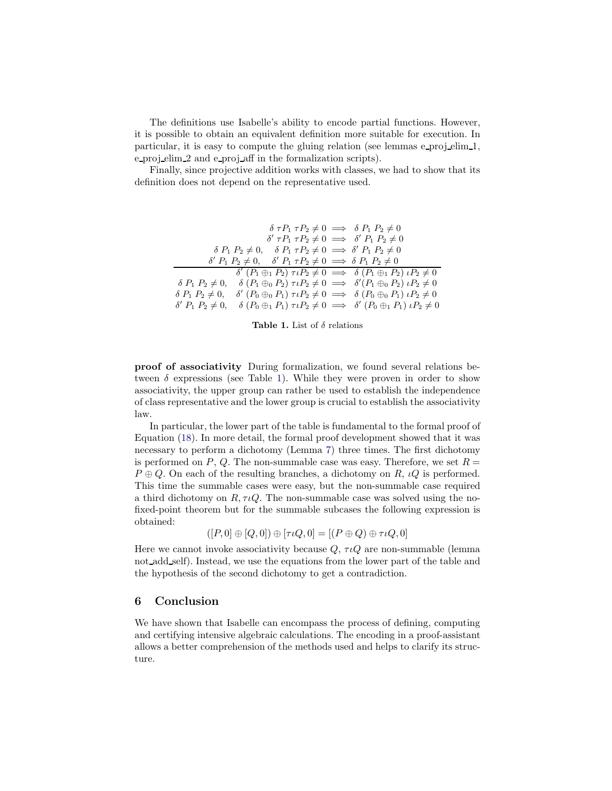The definitions use Isabelle's ability to encode partial functions. However, it is possible to obtain an equivalent definition more suitable for execution. In particular, it is easy to compute the gluing relation (see lemmas e proj elim 1, e proj elim 2 and e proj aff in the formalization scripts).

Finally, since projective addition works with classes, we had to show that its definition does not depend on the representative used.

|                                |                                                                                         | $\delta \tau P_1 \tau P_2 \neq 0 \implies \delta P_1 P_2 \neq 0$                                                                |
|--------------------------------|-----------------------------------------------------------------------------------------|---------------------------------------------------------------------------------------------------------------------------------|
|                                |                                                                                         | $\delta'$ $\tau P_1$ $\tau P_2 \neq 0 \implies \delta' P_1 P_2 \neq 0$                                                          |
|                                | $\delta P_1 P_2 \neq 0$ , $\delta P_1 \tau P_2 \neq 0 \implies \delta' P_1 P_2 \neq 0$  |                                                                                                                                 |
|                                | $\delta' P_1 P_2 \neq 0$ , $\delta' P_1 \tau P_2 \neq 0 \implies \delta P_1 P_2 \neq 0$ |                                                                                                                                 |
|                                |                                                                                         | $\delta'(P_1 \oplus_1 P_2) \tau \iota P_2 \neq 0 \implies \delta(P_1 \oplus_1 P_2) \iota P_2 \neq 0$                            |
|                                |                                                                                         | $\delta P_1 P_2 \neq 0$ , $\delta (P_1 \oplus_0 P_2) \tau \iota P_2 \neq 0 \implies \delta'(P_1 \oplus_0 P_2) \iota P_2 \neq 0$ |
| $\delta P_1 P_2 \neq 0$ ,      |                                                                                         | $\delta'(P_0 \oplus_0 P_1) \tau \iota P_2 \neq 0 \implies \delta(P_0 \oplus_0 P_1) \iota P_2 \neq 0$                            |
| $\delta'$ $P_1$ $P_2 \neq 0$ , |                                                                                         | $\delta(P_0 \oplus_1 P_1) \tau \iota P_2 \neq 0 \implies \delta'(P_0 \oplus_1 P_1) \iota P_2 \neq 0$                            |

<span id="page-13-0"></span>Table 1. List of  $\delta$  relations

proof of associativity During formalization, we found several relations between  $\delta$  expressions (see Table [1\)](#page-13-0). While they were proven in order to show associativity, the upper group can rather be used to establish the independence of class representative and the lower group is crucial to establish the associativity law.

In particular, the lower part of the table is fundamental to the formal proof of Equation [\(18\)](#page-11-1). In more detail, the formal proof development showed that it was necessary to perform a dichotomy (Lemma [7\)](#page-9-3) three times. The first dichotomy is performed on P, Q. The non-summable case was easy. Therefore, we set  $R =$  $P \oplus Q$ . On each of the resulting branches, a dichotomy on R,  $\iota Q$  is performed. This time the summable cases were easy, but the non-summable case required a third dichotomy on  $R, \tau \iota Q$ . The non-summable case was solved using the nofixed-point theorem but for the summable subcases the following expression is obtained:

$$
([P,0]\oplus[Q,0])\oplus[\tau \iota Q,0]=[(P\oplus Q)\oplus \tau \iota Q,0]
$$

Here we cannot invoke associativity because  $Q$ ,  $\tau \iota Q$  are non-summable (lemma not add self). Instead, we use the equations from the lower part of the table and the hypothesis of the second dichotomy to get a contradiction.

## 6 Conclusion

We have shown that Isabelle can encompass the process of defining, computing and certifying intensive algebraic calculations. The encoding in a proof-assistant allows a better comprehension of the methods used and helps to clarify its structure.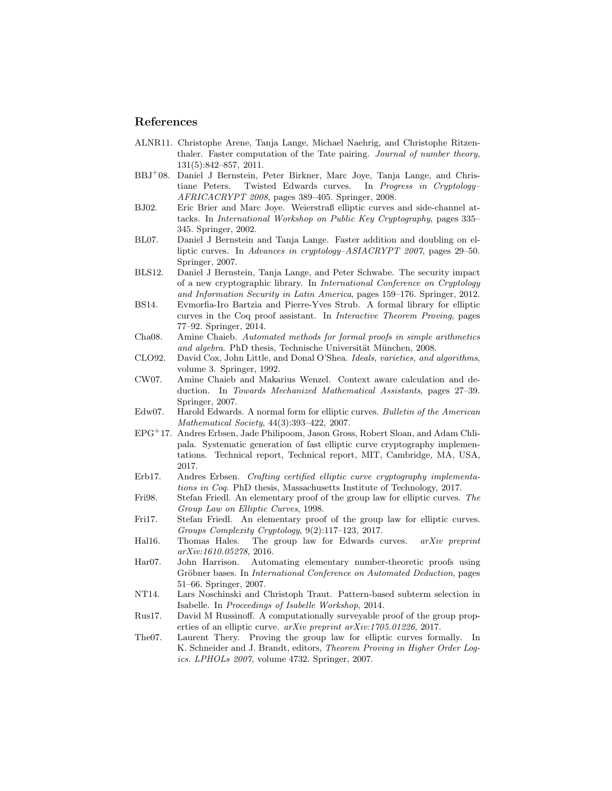## References

- <span id="page-14-5"></span>ALNR11. Christophe Arene, Tanja Lange, Michael Naehrig, and Christophe Ritzenthaler. Faster computation of the Tate pairing. *Journal of number theory*, 131(5):842–857, 2011.
- <span id="page-14-3"></span>BBJ<sup>+</sup>08. Daniel J Bernstein, Peter Birkner, Marc Joye, Tanja Lange, and Christiane Peters. Twisted Edwards curves. In *Progress in Cryptology– AFRICACRYPT 2008*, pages 389–405. Springer, 2008.
- <span id="page-14-1"></span>BJ02. Eric Brier and Marc Joye. Weierstraß elliptic curves and side-channel attacks. In *International Workshop on Public Key Cryptography*, pages 335– 345. Springer, 2002.
- <span id="page-14-4"></span>BL07. Daniel J Bernstein and Tanja Lange. Faster addition and doubling on elliptic curves. In *Advances in cryptology–ASIACRYPT 2007*, pages 29–50. Springer, 2007.
- <span id="page-14-0"></span>BLS12. Daniel J Bernstein, Tanja Lange, and Peter Schwabe. The security impact of a new cryptographic library. In *International Conference on Cryptology and Information Security in Latin America*, pages 159–176. Springer, 2012.
- <span id="page-14-9"></span>BS14. Evmorfia-Iro Bartzia and Pierre-Yves Strub. A formal library for elliptic curves in the Coq proof assistant. In *Interactive Theorem Proving*, pages 77–92. Springer, 2014.
- <span id="page-14-17"></span>Cha08. Amine Chaieb. *Automated methods for formal proofs in simple arithmetics* and algebra. PhD thesis, Technische Universität München, 2008.
- <span id="page-14-14"></span>CLO92. David Cox, John Little, and Donal O'Shea. *Ideals, varieties, and algorithms*, volume 3. Springer, 1992.
- <span id="page-14-16"></span>CW07. Amine Chaieb and Makarius Wenzel. Context aware calculation and deduction. In *Towards Mechanized Mathematical Assistants*, pages 27–39. Springer, 2007.
- <span id="page-14-2"></span>Edw07. Harold Edwards. A normal form for elliptic curves. *Bulletin of the American Mathematical Society*, 44(3):393–422, 2007.
- <span id="page-14-13"></span>EPG<sup>+</sup>17. Andres Erbsen, Jade Philipoom, Jason Gross, Robert Sloan, and Adam Chlipala. Systematic generation of fast elliptic curve cryptography implementations. Technical report, Technical report, MIT, Cambridge, MA, USA, 2017.
- <span id="page-14-12"></span>Erb17. Andres Erbsen. *Crafting certified elliptic curve cryptography implementations in Coq*. PhD thesis, Massachusetts Institute of Technology, 2017.
- <span id="page-14-6"></span>Fri98. Stefan Friedl. An elementary proof of the group law for elliptic curves. *The Group Law on Elliptic Curves*, 1998.
- <span id="page-14-7"></span>Fri17. Stefan Friedl. An elementary proof of the group law for elliptic curves. *Groups Complexity Cryptology*, 9(2):117–123, 2017.
- <span id="page-14-10"></span>Hal16. Thomas Hales. The group law for Edwards curves. *arXiv preprint arXiv:1610.05278*, 2016.
- <span id="page-14-18"></span>Har07. John Harrison. Automating elementary number-theoretic proofs using Gröbner bases. In *International Conference on Automated Deduction*, pages 51–66. Springer, 2007.
- <span id="page-14-15"></span>NT14. Lars Noschinski and Christoph Traut. Pattern-based subterm selection in Isabelle. In *Proceedings of Isabelle Workshop*, 2014.
- <span id="page-14-11"></span>Rus17. David M Russinoff. A computationally surveyable proof of the group properties of an elliptic curve. *arXiv preprint arXiv:1705.01226*, 2017.
- <span id="page-14-8"></span>The07. Laurent Thery. Proving the group law for elliptic curves formally. In K. Schneider and J. Brandt, editors, *Theorem Proving in Higher Order Logics. LPHOLs 2007*, volume 4732. Springer, 2007.